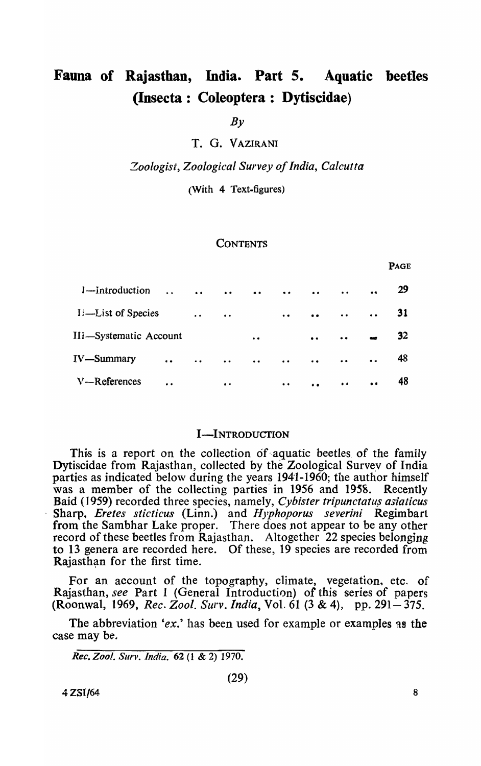# Fauna of Rajasthan, India. Part 5. Aquatic beetles (Insecta: Coleoptera: Dytiscidae)

*By* 

T. G. VAZIRANI

*Zoologist, Zoological Survey of India, Calcutta* 

(With 4 Text-figures)

#### **CONTENTS**

| 1-introduction         | $\ddot{\phantom{a}}$ | $\ddot{\bullet}$ | $\bullet$            | $\ddot{\phantom{a}}$ | $\bullet$                                                                   | $\bullet$        | $\bullet$ | $\bullet$            | 29 |
|------------------------|----------------------|------------------|----------------------|----------------------|-----------------------------------------------------------------------------|------------------|-----------|----------------------|----|
| I. - List of Species   |                      | $\bullet$        | $\bullet$            |                      | $\bullet$                                                                   | $\bullet$        | $\bullet$ | $\ddot{\phantom{a}}$ | 31 |
| IIi-Systematic Account |                      |                  |                      | $\bullet$            |                                                                             | $\bullet\bullet$ | $\bullet$ |                      | 32 |
| <b>IV</b> —Summary     | $\bullet$            | $\bullet$        | $\ddot{\phantom{a}}$ | $\ddot{\phantom{a}}$ | $\ddot{\phantom{a}}$                                                        | $\bullet$        | $\bullet$ | $\ddot{\bullet}$     | 48 |
| V-References           | $\ddot{\phantom{a}}$ |                  | $\bullet$            |                      | $\bullet\hspace{0.1cm} \bullet\hspace{0.1cm} \bullet\hspace{0.1cm} \bullet$ | $\bullet$        | $\bullet$ | $\bullet$            | 48 |

## I-INTRODUCTION

This is a report on the collection of aquatic beetles of the family Dytiscidae from Rajasthan, collected by the Zoological Survey of India parties as indicated below during the years 1941-1960; the author himself was a member of the collecting parties in 1956 and 1958. Recently Baid (1959) recorded three species, namely, *Cybister tripunctatus asiaticus* . Sharp., *Eretes sticticus* (Linn.) and *Hyphoporus severini* Regimbart from the Sambhar Lake proper. There does not appear to be any other record of these beetles from Rajasthan. Altogether 22 species belonging to 13 genera are recorded here. Of these, 19 species are recorded from Rajasthan for the first time.

For an account of the topography, climate, vegetation. etc. of Rajasthan, *see* Part 1 (General Introduction) of this series of papers (Roonwal, 1969, *Rec. Zool. Surv. India,* Vol. 61 (3 & 4), pp. 291- 375.

The abbreviation 'ex.' has been used for example or examples as the case may be.

*Rec. Zoo!. Sur v* . *India.* 62 (1 & 2) 1970.

(29)

 $4 \text{ ZSI}$ /64 8

PAGE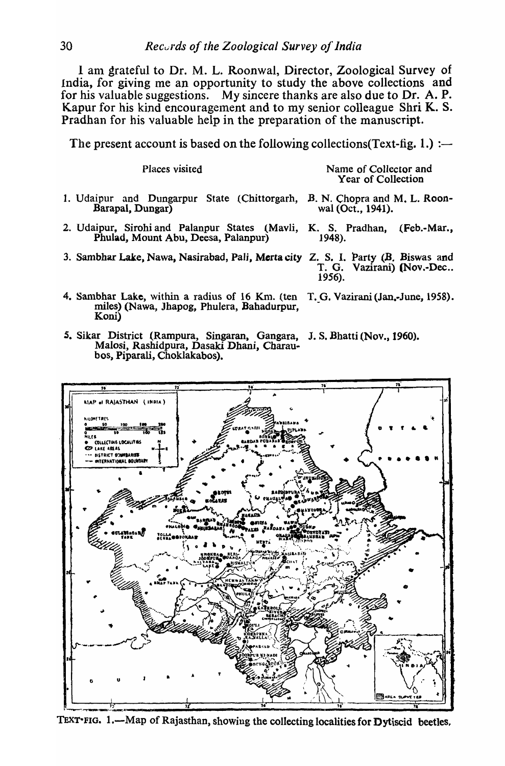1 anl grateful to Dr. M. L. Roonwal, Director, Zoological Survey of India, for giving me an opportunity to study the above collections and for his valuable suggestions. My sincere thanks are also due to Dr. A. P. Kapur for his kind encouragement and to my senior colleague Shri K. S. Pradhan for his valuable help in the preparation of the manuscript.

The present account is based on the following collections (Text-fig. 1.) :—

| Places visited                                                                                                   | Name of Collector and<br>Year of Collection       |  |  |
|------------------------------------------------------------------------------------------------------------------|---------------------------------------------------|--|--|
| 1. Udaipur and Dungarpur State (Chittorgarh,<br>Barapal, Dungar)                                                 | B. N. Chopra and M. L. Roon-<br>wal (Oct., 1941). |  |  |
| 2. Udaipur, Sirohi and Palanpur States (Mavli, K. S. Pradhan, (Feb.-Mar.,<br>Phulad, Mount Abu, Deesa, Palanpur) | 1948).                                            |  |  |
| 3. Sambhar Lake, Nawa, Nasirabad, Pali, Merta city Z. S. I. Party (B. Biswas and                                 | T. G. Vazirani) (Nov.-Dec<br>1956).               |  |  |
| 4. Sambhar Lake, within a radius of 16 Km. (ten<br>miles) (Nawa, Jhapog, Phulera, Bahadurpur,                    | T. G. Vazirani (Jan.-June, 1958).                 |  |  |

*S.* Sikar District (Rampura, Singaran, Gangara, J. S. Bhatti (Nov., 1960). Malosi, Rashidpura, Dasaki Dhani, Charaubos, Piparali, Choklakabos).



TEXT FIG. 1.—Map of Rajasthan, showing the collecting localities for Dytiscid beetles.

Koni)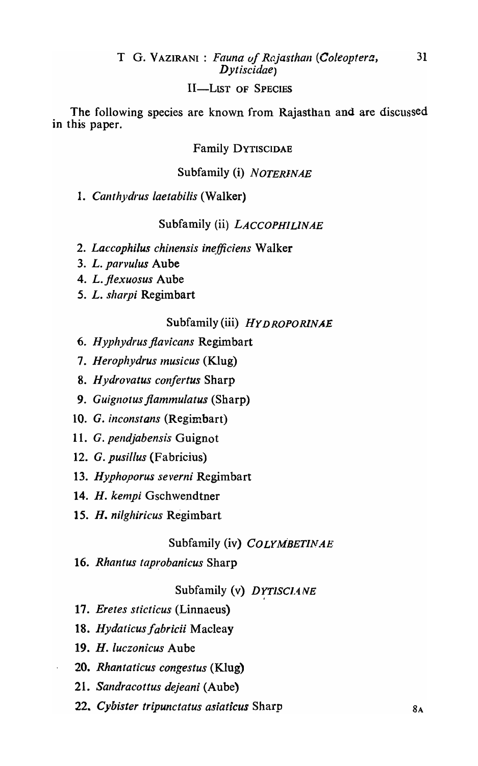## T G. V AZIRANI : *Fauna of Rcijasthan (Coleoptera,* <sup>31</sup> *Dytiscidae)*

## II-LIST OF SPECIES

The following species are known from Rajasthan and are discussed in this paper.

## Family DYTISCIDAE

## Subfamily (i) *NOTERINAE*

1. Canthydrus laetabilis (Walker)

## Subfamily (ii) *LACCOPHILINAE*

- 2. Laccophilus chinensis inefficiens Walker
- *3. L. parvulus* Aube
- 4. *L.flexuosus* Aube
- *5. L. sharpi* Regimbart

## Subfamily (iii) *HY DROPORlNAE*

- 6. *Hyphydrus flavicans* Regimbart
- 7. Herophydrus musicus (Klug)
- *8. Hydrovatus confertus* Sharp
- 9. *Guignotus flammulatus* (Sharp)
- 10. G. *inconstans* (Regimbart)
- 11. G. *pendjabensis* Guignot
- 12. G. *pusillus* (Fabricius)
- *13. Hyphoporus severni* Regimbart
- 14. H. kempi Gschwendtner
- *15. H. nilghiricus* Regimbart

## Subfamily (iv) *COLYMBETINAE*

16. *Rhantus taprobanicus* Sharp

## Subfamily (v) DYTISCIANE

- 17. *Eretes sticticus* (Linnaeus)
- 18. Hydaticus fabricii Macleay
- *19. H. luczonicus* Aube
- *20. Rhantaticus congestus* (KIug)
- *21. Sandracottus dejeani* (Aube)
- **22. Cybister tripunctatus asiaticus Sharp 68. Cybister tripunctatus asiaticus Sharp 68. Cybister 68. A**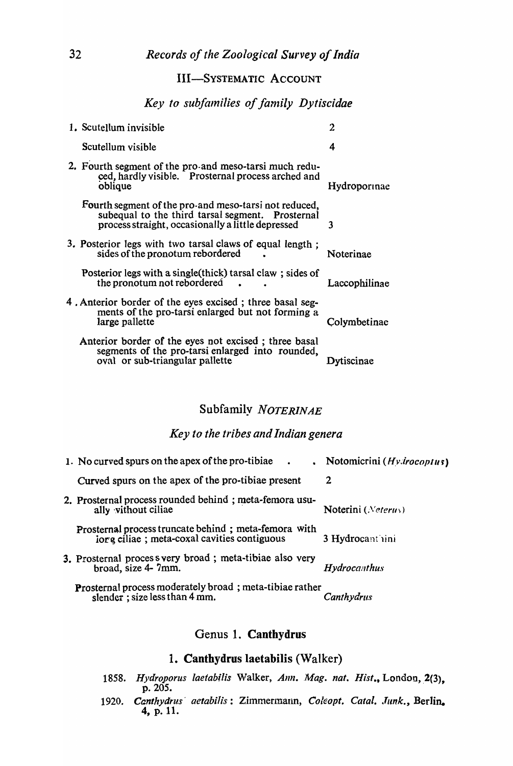## III-SYSTEMATIC ACCOUNT

## *Key to subfalnilies of fanlily Dytiscidae*

| 1. Scutellum invisible                                                                                                                                         | $\overline{2}$ |
|----------------------------------------------------------------------------------------------------------------------------------------------------------------|----------------|
| Scutellum visible                                                                                                                                              | 4              |
| 2. Fourth segment of the pro-and meso-tarsi much redu-<br>ced, hardly visible. Prosternal process arched and<br>oblique                                        | Hydroporinae   |
| Fourth segment of the pro-and meso-tarsi not reduced,<br>subequal to the third tarsal segment. Prosternal<br>process straight, occasionally a little depressed | 3              |
| 3. Posterior legs with two tarsal claws of equal length;<br>sides of the pronotum rebordered                                                                   | Noterinae      |
| Posterior legs with a single (thick) tarsal claw; sides of<br>the pronotum not rebordered                                                                      | Laccophilinae  |
| 4. Anterior border of the eyes excised; three basal seg-<br>ments of the pro-tarsi enlarged but not forming a<br>large pallette                                | Colymbetinae   |
| Anterior border of the eyes not excised; three basal<br>segments of the pro-tarsi enlarged into rounded,<br>oval or sub-triangular pallette                    | iscinae        |
|                                                                                                                                                                |                |

## Subfamily *NOTERINAE*

## *Key to the tribes and Indian genera*

| 1. No curved spurs on the apex of the pro-tibiae.<br>$\bullet$                                      | Notomicrini (Hydrocoptus)   |
|-----------------------------------------------------------------------------------------------------|-----------------------------|
| Curved spurs on the apex of the pro-tibiae present                                                  | 2                           |
| 2. Prosternal process rounded behind; meta-femora usu-<br>ally vithout ciliae                       | Noterini ( <i>Neterus</i> ) |
| Prosternal process truncate behind; meta-femora with<br>iorg ciliae; meta-coxal cavities contiguous | 3 Hydrocant iini            |
| 3. Prosternal proces s very broad; meta-tibiae also very<br>broad, size 4-7mm.                      | Hydrocanthus                |
| <b>Prosternal process moderately broad</b> ; meta-tibiae rather<br>slender; size less than 4 mm.    | Canthydrus                  |

## Genus 1. Canthydrus

## 1. Canthydrus laetabilis (Walker)

- 1858. Hydroporus laetabilis Walker, *Ann. Mag. nat. Hist.*, London, 2(3). p.205.
- 1920. *Canthydrus' aetabilis*: Zimmermann, Coleopt. Catal. Junk., Berlin. 4, p. 11.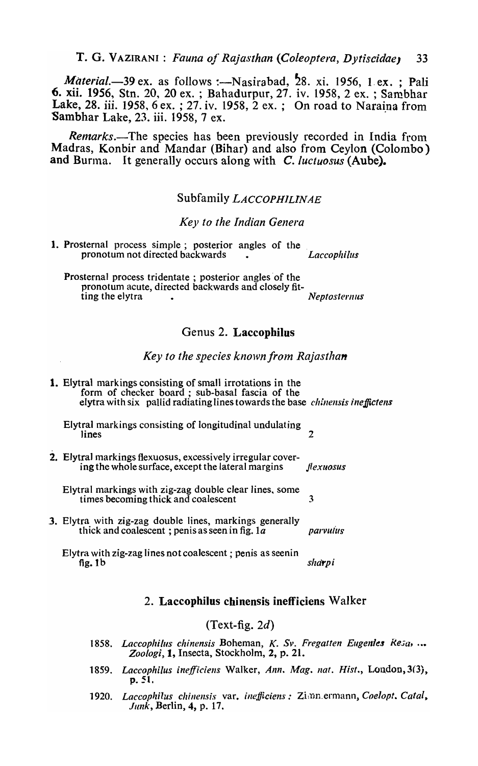T. G. VAZIRANI: *Fauna of Rajasthan (Coleoptera, Dytiscidae*) 33

*Material.*-39 ex. as follows :-Nasirabad, 28. xi. 1956, 1 ex. ; Pali 6. xii. 1956, Stn. 20, 20 ex. ; Bahadurpur, 27. iv. 1958, 2 ex. ; Sambhar Lake, 28. iii. 1958,  $6$  ex.; 27. iv. 1958,  $2$  ex.; On road to Naraina from Sambhar Lake, 23. iii. 1958, 7 ex.

*Remarks.*-The species has been previously recorded in India from Madras, Konbir and Mandar (Bihar) and also from Ceylon (Colombo) and Burma. It generally occurs along with C. *luctuosus* (Aube).

## Subfanlily *LACCOPHILINAE*

#### *Key to the Indian Genera*

1. Prosternal process simple; posterior angles of the pronotum not directed backwards . *Laccophillis* 

Prosternal process tridentate; posterior angles of the pronotum acute, directed backwards and closely fitting the elytra **1988 Contract Contract Contract Contract Contract Contract Contract Contract Contract Contract Contract Contract Contract Contract Contract Contract Contract Contract Contract Contract Contract Contract** 

## Genus 2. Laccophilus

#### *Key to the species knolvnfrom Rajasthan*

| <b>1.</b> Elytral markings consisting of small irrotations in the<br>form of checker board; sub-basal fascia of the<br>elytra with six pallid radiating lines towards the base <i>chinensis ineffictens</i> |           |
|-------------------------------------------------------------------------------------------------------------------------------------------------------------------------------------------------------------|-----------|
| Elytral markings consisting of longitudinal undulating<br>lines                                                                                                                                             | 2         |
| <b>2.</b> Elytral markings flexuosus, excessively irregular cover-<br>ing the whole surface, except the lateral margins                                                                                     | flexuosus |
| Elytral markings with zig-zag double clear lines, some<br>times becoming thick and coalescent                                                                                                               | 3         |
| 3. Elytra with zig-zag double lines, markings generally<br>thick and coalescent ; penis as seen in fig. $1a$                                                                                                | parvulus  |
| Elytra with zig-zag lines not coalescent ; penis as seenin<br>fig. $1b$                                                                                                                                     | sharpi    |

### 2. Laccophilus chinensis inefficiens Walker

#### $(Text-fig. 2d)$

- 1858. *Laccophilus chinensis Boheman, K. Sv. Fregatten Eugenies Resa, ... Zoologi,* 1, Insecta, Stockholm, 2, p. 21.
- 1859. Laccophilus inefficiens Walker, *Ann. Mag. nat. Hist., London, 3(3),* p.51.
- 1920. Laccophilus chinensis var. *inefficiens: Zimmermann, Coelopt. Catal*, *Junk,* Berlin, 4, p. 17.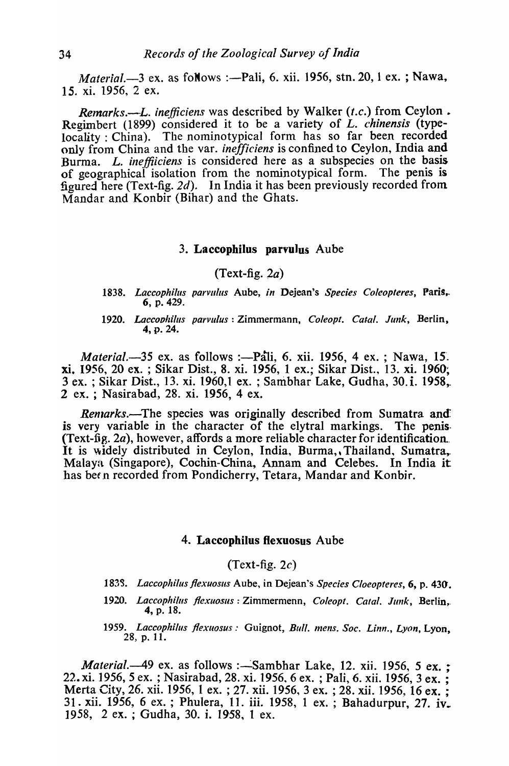*Material.*-3 ex. as foNows :--Pali, 6. xii. 1956, stn. 20, 1 ex. ; Nawa, 15. xi. 1956, 2 ex.

*Remarks.—L. inefficiens* was described by Walker *(t.c.)* from Ceylon. Regimbert (1899) considered it to be a variety of L. *chinensis* (typelocality: China). The nominotypical form has so far been recorded only from China and the var. *inefficiens* is confined to Ceylon, India and Burma. L. *ineffiiciens* is considered here as a subspecies on the basis of geographical isolation from the nominotypical form. The penis is figured here (Text-fig. 2d). In India it has been previously recorded from Mandar and Konbir (Bihar) and the Ghats.

## 3. Laccophilus parvulus Aube

#### (Text-fig.  $2a$ )

- *1838. Laccophilus parvulus* Aube, *in* Dejean's *Species Coleopteres,* Paris,. 6, p. 429.
- 1920. Laccophilus parvulus: Zimmermann, Coleopt. Catal. Junk, Berlin, 4, p. 24.

*Material.*-35 ex. as follows :- Pati, 6. xii. 1956, 4 ex. ; Nawa, 15. xi. 1956, 20 ex. ; Sikar Dist., 8. xi. 1956, 1 ex.; Sikar Dist., 13. xi. 1960; 3 ex. ; Sikar Dist., 13. xi. 1960,1 ex. ; Sambhar Lake, Gudha, 30. i. 1958, 2 ex. ; Nasirabad, 28. xi. 1956, 4 ex.

*Remarks.*-The species was originally described from Sumatra and is very variable in the character of the elytral markings. The penis. (Text-fig. 2a), however, affords a more reliable character for identification. It is widely distributed in Ceylon, India, Burma, Thailand, Sumatra,. Malaya (Singapore), Cochin-China, Annam and Celebes. In India it has been recorded from Pondicherry, Tetara, Mandar and Konbir.

#### 4. Laccophilus flexuosus Aube

(Text-fig.  $2c$ )

- *183'3. Laccophilus f/exuosus* Aube, in Dejean's *Species Cloeopteres,* 6, p. 430.
- 1920. Laccophilus flexuosus : Zimmermenn, Coleopt. Catal. Junk, Berlin, 4, p. 18.
- 1959. *Laccophilus flexuosus:* Guignot, *Bull. mens. Soc. Linn., Lyon*, Lyon, 28, p. 11.

*Material.*-49 ex. as follows :-Sambhar Lake, 12. xii. 1956, 5 ex. ; 22. xi. 1956, 5 ex. ; Nasirabad, 28. xi. 1956, 6 ex. ; Pali, 6. xii. 1956, 3 ex. ; Merta City, 26. xii. 1956, 1 ex. ; 27. xii. 1956, 3 ex. ; 28. xii. 1956, 16 ex. ; 31. xii. 1956, 6 ex. ; Phulera, 11. iii. 1958, 1 ex. ; Bahadurpur, 27. iv.<br>1958, 2 ex. ; Gudha, 30. i. 1958, 1 ex.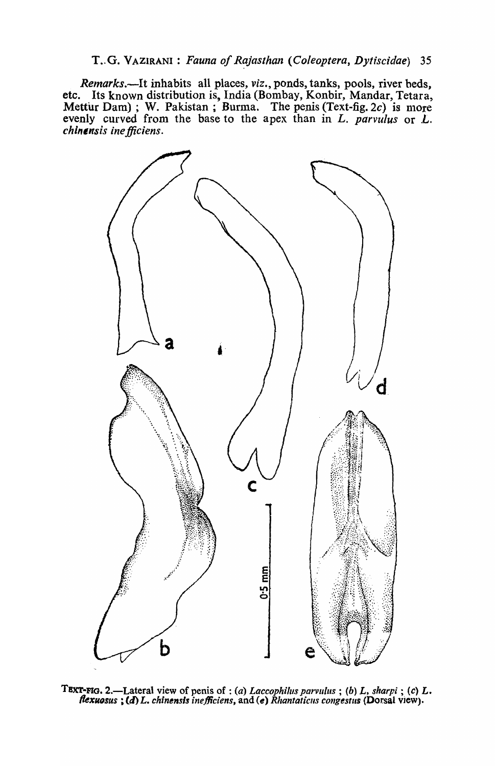## T .. G. VAZIRANI : *Fauna of Rajasthan (Coleoptera, Dytiscidae) 35*

*Remarks.-It* inhabits all places, *viz.,* ponds, tanks, pools, river beds, etc. Its known distribution is, India (Bombay, Konbir, Mandar, Tetara, Mettur Dam); W. Pakistan; Burma. The penis (Text-fig.  $2c$ ) is more evenly curved from the base to the apex than in  $L$ . *parvulus* or  $L$ . *chinensis ine fficiens.* 



TEXT-FIG. 2.—Lateral view of penis of : *(a) Laccophilus parvulus* ; *(b) L, sharpi* ; *(c) L.* flexuosus ; (d) L. chinensis inefficiens, and (e) Rhantaticus congestus (Dorsal view).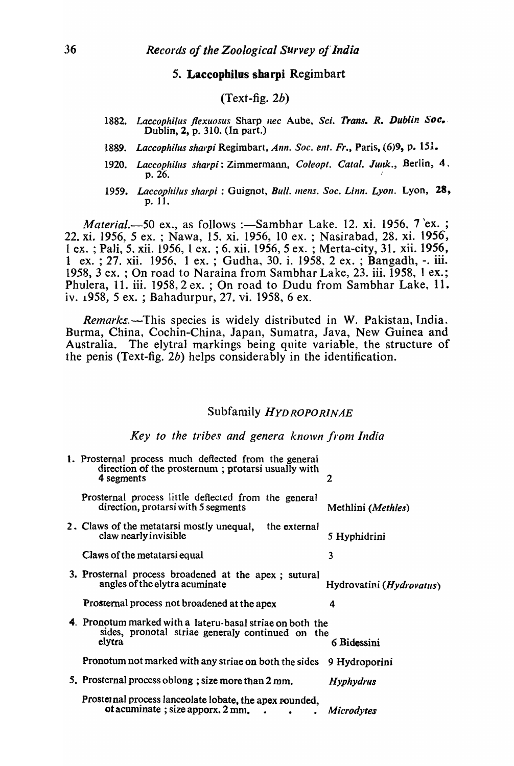### 5. Laccophilus sharpi Regimbart

## $(Text - fig. 2b)$

- 1882. Laccophilus flexuosus Sharp *nec* Aube, *Sci. Trans. R. Dublin Soc.* Dublin, 2, p. 310. (In part.)
- 1889. Laccophilus sharpi Regimbart, *Ann. Soc. ent. Fr.*, Paris, (6)9, p. 151.
- 1920. *Laccophilus sharpi*: Zimmermann, *Coleopt. Catal. Junk.*, Berlin, 4.<br>p. 26.
- 1959. *Laccophilus sharpi*: Guignot, *Bull. mens. Soc. Linn. Lyon. Lyon,* 28, p. 11.

*Material.*-50 ex., as follows :--Sambhar Lake, 12. xi. 1956, 7 'ex. ; 22. xi. 1956, 5 ex. ; Nawa, 15. xi. 1956, 10 ex. ; Nasirabad, 28. xi. 1956, 1 ex. ; Pali, 5. xii. 1956,1 ex. ; 6. xii. 1956,5 ex. ; Merta-city, 31. xii. 1956, 1 ex.; 27. xii. 1956, 1 ex.; Gudha, 30. i. 1958, 2 ex.; Bangadh, -. iii. 1958, 3 ex. ; On road to Naraina from Sambhar Lake, 23. iii. 1958, 1 ex.; Phulera, 11. iii. 1958, 2 ex. ; On road to Dudu from Sambhar Lake, 11. iv. 1958, 5 ex. ; Bahadurpur, 27. vi. 1958, 6 ex.

*Remarks*, -This species is widely distributed in W. Pakistan, India. Burma, China, Cochin-China, Japan, Sumatra, Java, New Guinea and Australia. The elytral markings being quite variable, the structure of the penis (Text-fig. 2b) helps considerably in the identification.

## Subfanlily *HYDROPORINAE*

Key to the tribes and genera known from India

| 1. Prosternal process much deflected from the general<br>direction of the prosternum; protarsi usually with<br>4 segments |                                   |
|---------------------------------------------------------------------------------------------------------------------------|-----------------------------------|
| Prosternal process little deflected from the general<br>direction, protarsi with 5 segments                               | Methlini ( <i>Methles</i> )       |
| 2. Claws of the metatarsi mostly unequal, the external<br>claw nearly invisible                                           | 5 Hyphidrini                      |
| Claws of the metatarsi equal                                                                                              | 3                                 |
| 3. Prosternal process broadened at the apex; sutural<br>angles of the elytra acuminate                                    | Hydrovatini ( <i>Hydrovatus</i> ) |
| Prosternal process not broadened at the apex                                                                              | 4                                 |
| 4. Pronotum marked with a lateru-basal striae on both the<br>sides, pronotal striae generaly continued on the<br>elytra   | 6 Bidessini                       |
| Pronotum not marked with any striae on both the sides                                                                     | 9 Hydroporini                     |
| 5. Prosternal process oblong; size more than 2 mm.                                                                        | <b>Hyphydrus</b>                  |
| Prosternal process lanceolate lobate, the apex rounded,<br>ot acuminate; size apporx. 2 mm.                               | <b>Microdytes</b>                 |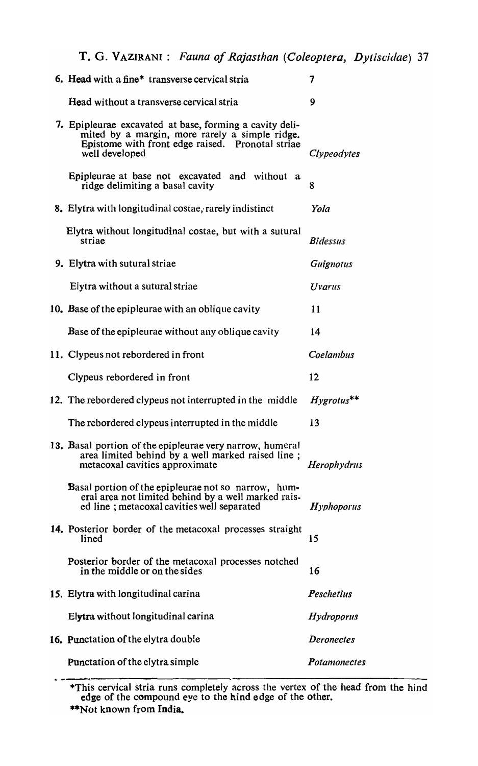T. G. VAZIRANI: *Fauna of Rajasthan (Coleoptera, Dytiscidae) 37* 

| 6. Head with a fine <sup>*</sup> transverse cervical stria                                                                                                                      | 7                 |
|---------------------------------------------------------------------------------------------------------------------------------------------------------------------------------|-------------------|
| Head without a transverse cervical stria                                                                                                                                        | 9                 |
| 7. Epipleurae excavated at base, forming a cavity deli-<br>mited by a margin, more rarely a simple ridge.<br>Epistome with front edge raised. Pronotal striae<br>well developed | Clypeodytes       |
| Epipleurae at base not excavated and without a<br>ridge delimiting a basal cavity                                                                                               | 8                 |
| 8. Elytra with longitudinal costae, rarely indistinct                                                                                                                           | Yola              |
| Elytra without longitudinal costae, but with a sutural<br>striae                                                                                                                | <b>Bidessus</b>   |
| 9. Elytra with sutural striae                                                                                                                                                   | Guignotus         |
| Elytra without a sutural striae                                                                                                                                                 | Uvarus            |
| 10. Base of the epipleurae with an oblique cavity                                                                                                                               | 11                |
| Base of the epipleurae without any oblique cavity                                                                                                                               | 14                |
| 11. Clypeus not rebordered in front                                                                                                                                             | Coelambus         |
| Clypeus rebordered in front                                                                                                                                                     | 12                |
| 12. The rebordered clypeus not interrupted in the middle                                                                                                                        | $Hyrotus$ **      |
| The rebordered clypeus interrupted in the middle                                                                                                                                | 13                |
| 13. Basal portion of the epipleurae very narrow, humeral<br>area limited behind by a well marked raised line;<br>metacoxal cavities approximate                                 | Herophydrus       |
| <b>Basal portion of the epipleurae not so narrow, hum-</b><br>eral area not limited behind by a well marked rais-<br>ed line; metacoxal cavities well separated                 | $H$ yphoporus     |
| 14. Posterior border of the metacoxal processes straight<br>lined                                                                                                               | 15                |
| Posterior border of the metacoxal processes notched<br>in the middle or on the sides                                                                                            | 16                |
| 15. Elytra with longitudinal carina                                                                                                                                             | Peschetius        |
| Elytra without longitudinal carina                                                                                                                                              | Hydroporus        |
| 16. Punctation of the elytra double                                                                                                                                             | <b>Deronectes</b> |
| Punctation of the elytra simple                                                                                                                                                 | Potamonectes      |

This cervical stria runs completely across the vertex of the head from the hind edge of the compound eye to the hind edge of the other. \*\*Not known from India.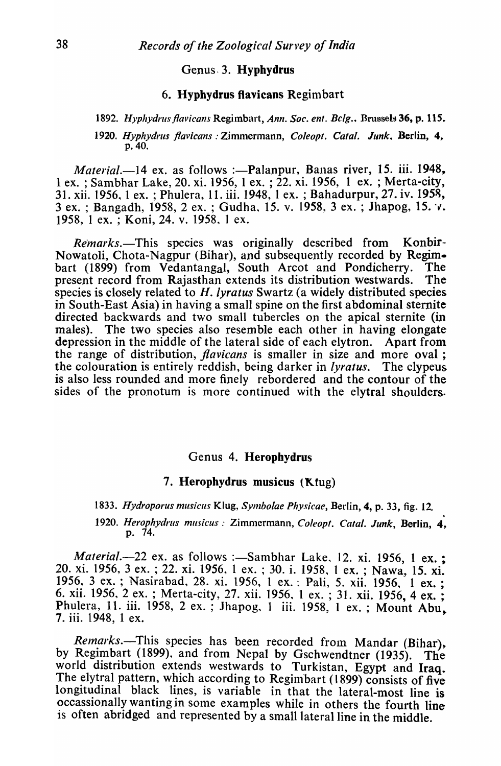## Genus- 3. Hypbydrus

## 6. Hyphydrus flavicans Regimbart

#### 1892. *Hyphydrus flavicans Regimbart, Ann. Soc. ent. Belg., Brussels 36, p. 115.*

#### *1920. Hyphydrlls /lavicans* : Zimmermann, *Coleopt. Calal. Junk.* Berlin, 4, p.40.

*Material.*-14 ex. as follows :- Palanpur, Banas river, 15. iii. 1948, 1 ex. ; Sambhar Lake, 20. xi. 1956, 1 ex. ; 22. xi. 1956, 1 ex. ; Merta-city, 31. xii. 1956, 1 ex. ; Phulera, 11. iii. 1948, 1 ex. ; Bahadurpur, 27. iv. 1958, 3 ex. ; Bangadh, 1958, 2 ex. ; Gudha, 15. v. 1958, 3 ex. ; Jhapog, 15. v. 1958, 1 ex. ; Koni, 24. v. 1958, 1 ex.

*Remarks.-This* species was originally described from Konbir-Nowatoli, Chota-Nagpur (Bihar), and subsequently recorded by Regimbart (1899) from Vedantangal, South Arcot and Pondicherry. The present record from Rajasthan extends its distribution westwards. The species is closely related to *H. lyratus* Swartz (a widely distributed species in South-East Asia) in having a small spine on the first abdominal sternite directed backwards and two small tubercles on the apical sternite (in males). The two species also resemble each other in having elongate depression in the middle of the lateral side of each elytron. Apart from the range of distribution, *flavicans* is smaller in size and more oval ; the colouration is entirely reddish, being darker in *lyratus.* The clypeus is also less rounded and more finely rebordered and the contour of the sides of the pronotum is more continued with the elytral shoulders.

#### Genus 4. Heropbydrus

#### 7. Herophydrus musicus (Ktug)

*1833. Hydroporus musicus* Klug, *Symbolae Physicae*, Berlin, 4, p. 33, fig. 12. . *1920. Herophydrus musicus: Zimmermann, Coleopt. Catal. Junk, Berlin, 4*, p. 74.

*Material.*-22 ex. as follows :-Sambhar Lake, 12. xi. 1956, 1 ex. ; 20. xi. 1956, 3 ex. ; 22. xi. 1956, 1 ex. ; 30. i. 1958, 1 ex. ; Nawa, 15. xi. 1956, 3 ex. ; Nasirabad, 28. xi. 1956, 1 ex. : Pali, 5. xii. 1956, 1 ex. ; 6. xii. 1956, 2 ex. ; Merta-city, 27. xii. 1956, 1 ex. ; 31. xii. 1956, 4 ex. ; Phulera, 11. iii. 1958, 2 ex. ; Jhapog, 1 iii. 1958, 1 ex. ; Mount Abu, 7. iii. 1948, 1 ex.

*Remarks.*-This species has been recorded from Mandar (Bihar), by Regimbart (1899), and from Nepal by Gschwendtner (1935). The world distribution extends westwards to Turkistan, Egypt and Iraq. The elytral pattern, which according to Regimbart (1899) consists of five longitudinal black lines, is variable in that the lateral-most line is occassionally wanting in some examples while in others the fourth line is often abridged and represented by a small lateral line in the middle.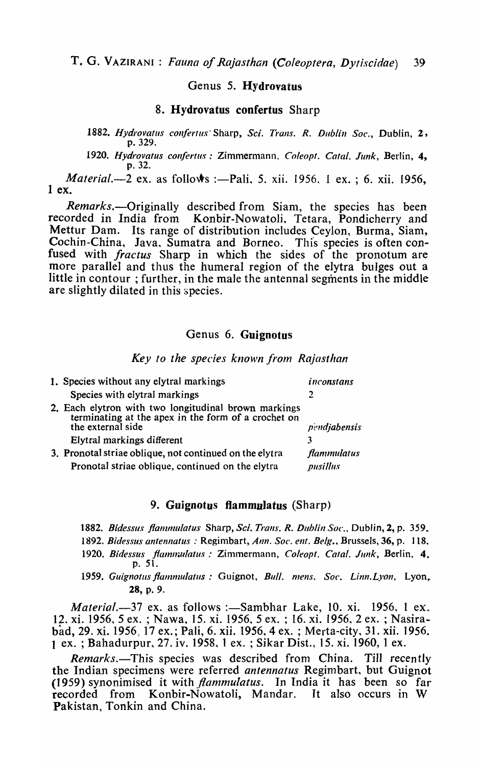## Genus 5. Hydrovatus

#### 8. Hydrovatus confertus Sharp

1882. Hydrovatus confertus Sharp, *Sci. Trans. R. Dublin Soc.*, Dublin, 2, p.329.

*1920. Hydrovatus cOllfertus:* Zimmermann. *Coleopt. Catal. Junk,* Berlin, 4, p.32.

*Material.*-2 ex. as follows :-Pali, 5. xii. 1956, 1 ex. ; 6. xii. 1956, 1 ex.

*Remarks.*—Originally described from Siam, the species has been recorded in India from Konbir-Nowatoli, Tetara, Pondicherry and Mettur Dam. Its range of distribution includes Ceylon, Burma, Siam, Cochin-China, Java, Sumatra and Borneo. This species is often confused with *fractus* Sharp in which the sides of the pronotum are more parallel and thus the humeral region of the elytra bulges out a little in contour ; further, in the male the antennal segments in the middle are slightly dilated in this species.

## Genus 6. Guignotus

#### **Key to the species known from Rajasthan**

| 1. Species without any elytral markings                                                                                          | inconstans         |
|----------------------------------------------------------------------------------------------------------------------------------|--------------------|
| Species with elytral markings                                                                                                    |                    |
| 2. Each elytron with two longitudinal brown markings<br>terminating at the apex in the form of a crochet on<br>the external side | pendiabensis       |
| Elytral markings different                                                                                                       |                    |
| 3. Pronotal striae oblique, not continued on the elytra                                                                          | <b>flammulatus</b> |
| Pronotal striae oblique, continued on the elytra                                                                                 | pusillus           |

#### 9. Guignotus flammulatus (Sharp)

1882. Bidessus flammulatus Sharp, *Sci. Trans. R. Dublin Soc.*, Dublin, 2, p. 359.

- 1892. Bidessus antennatus : Regimbart, *Ann. Soc. ent. Belg.*, Brussels, 36, p. 118.
- 1920. Bidessus flammulatus: Zimmermann, *Coleopt. Catal. Junk*, Berlin, 4. p. 51.
- 1959. Guignotus flammulatus: Guignot, *Bull. mens. Soc. Linn. Lyon*, Lyon, 28, p. 9.

*Material.*-37 ex. as follows :-Sambhar Lake, 10. xi. 1956, 1 ex. 12. xi. 1956,5 ex. ; Nawa, 15. xi. 1956,5 ex. ; 16. xi. 1956,2 ex. ; Nasirabad, 29. xi. 1956; 17 ex.; Pali, 6. xii. 1956,4 ex. ; Merta-city, 31. xii. 1956. 1 ex. ; Bahadurpur, 27. iv. 1958, 1 ex. ; Sikar Dist., 15. xi. 1960, 1 ex.

*Remarks.*-This species was described from China. Till recently the Indian specimens were referred *antennatus* Regimbart, but Guignot (1959) synonimised it with *flammulatus*. In India it has been so far recorded from Konbir-Nowatoli, Mandar. It also occurs in W Pakistan, Tonkin and China.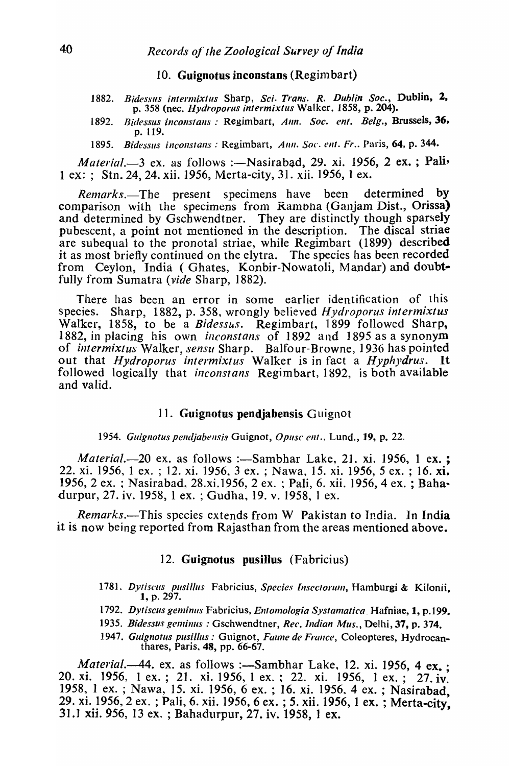#### 10. Guignotus inconstans (Regimbart)

- 1882. Bidessus intermixtus Sharp, *Sci. Trans. R. Dublin Soc.*, Dublin, 2, p. 358 (nee. *Hydroporus intermixtlls* Walker, 1858, p. 204).
- 1892. *Bidessus inconstans* : Regimbart, *Ann. Soc. ent. Belg.*, Brussels, 36, p. 119.
- 1895. Bidessus inconstans : Regimbart, Ann. Soc. ent. *Fr.*. Paris, 64, p. 344.

*Material.*-3 ex. as follows :-Nasirabad, 29. xi. 1956, 2 ex.; Pali-1 ex: ; Stn. 24, 24. xii. 1956, Merta-city, 31. xii. 1956, 1 ex.

*Remarks.*-The present specimens have been determined by comparison with the specimens from Rambha (Ganjam Dist., Orissa) and determined by Gschwendtner. They are distinctly though sparsely pubescent, a point not mentioned in the description. The discal striae are subequal to the pronotal striae, while Regimbart (1899) described it as most briefly continued on the elytra. The species has been recorded from Ceylon, India (Ghates, Konbir-Nowatoli, Mandar) and doubtfully from Sumatra *(vide* Sharp, 1882).

There has been an error in some earlier identification of this species. Sharp, 1882, p. 358, wrongly believed *Hydroporus intermixtus* Walker, 1858, to be a *Bidessus.* Regimbart, 1899 followed Sharp, 1882, in placing his own *inconstans* of 1892 and 1895 as a synonym of *intermixtus* Walker, *sensu* Sharp. Balfour-Browne, 1936 has pointed out that *Hydroporus intermixtus* Walker is in fact a *Hyphydrus.* It followed logically that *inconstans* Regimbart, 1892, is both available and valid.

### 11. Guignotus pendjabensis Guignot

1954. *Guignotus pendjabensis Guignot, Opusc ent.*, Lund., 19, p. 22.

*Material.*-20 ex. as follows :-Sambhar Lake, 21. xi. 1956, 1 ex. ; 22. xi. 1956, 1 ex. ; 12. xi. 1956, 3 ex. ; Nawa, 15. xi. 1956, 5 ex. ; 16. xi. 1956, 2 ex. ; Nasirabad, 28.xi.1956, 2 ex. ; Pali, 6. xii. 1956, 4 ex. ; Baha· durpur, 27. iv. 1958,1 ex. ; Gudha, 19. v. 1958, 1 ex.

*Remarks.*—This species extends from W Pakistan to India. In India it is now being reported from Rajasthan from the areas mentioned above.

### 12. Guignotus pusillus (Fabricius)

- 1781. Dytiscus pusillus Fabricius, Species Insectorum, Hamburgi & Kilonii. 1, p. 297.
- 1792. Dytiscus geminus Fabricius, Entomologia Systamatica. Hafniae, 1, p.199.
- 1935. Bidessus geminus : Gschwendtner, *Rec. Indian Mus.*, Delhi, 37, p. 374.
- 1947. Guignotus pusillus: Guignot, *Faune de France*, Coleopteres, Hydrocanthares, Paris, 48, pp. 66-67.

*Material.*-44. ex. as follows :-Sambhar Lake, 12. xi. 1956, 4 ex. : 20. xi. 1956, 1 ex.; 21. xi. 1956, 1 ex.; 22. xi. 1956, 1 ex.; 27. iv. 1958, 1 ex. ; Nawa, 15. xi. 1956, 6 ex. ; 16. xi. 1956, 4 ex. ; Nasirabad, 29. xi. 1956, 2 ex. ; Pali, 6. xii. 1956, 6 ex. ; 5. xii. 1956, 1 ex. ; Merta-city, 31.1 xu. 956, 13 ex. ; Bahadurpur, 27. IV. 1958, 1 ex.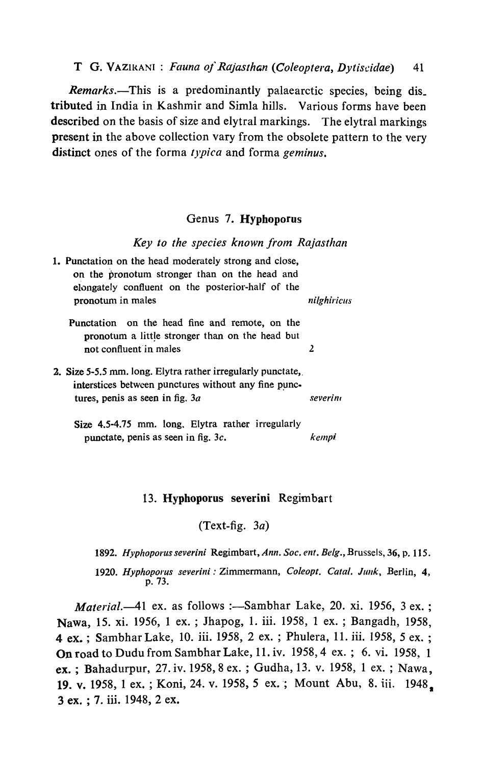T G. VAZIRANI : *Fauna of Rajasthan (Coleoptera, Dytiscidae*) 41

*Remarks*.—This is a predominantly palaearctic species, being dis. tributed in India in Kashmir and Simla hills. Various forms have been described on the basis of size and elytral markings. The elytral markings present in the above collection vary from the obsolete pattern to the very distinct ones of the forma *typica* and forma *geminus.* 

### Genus 7. Hyphoporus

Key to the species known from Rajasthan

| 1. Punctation on the head moderately strong and close,<br>on the pronotum stronger than on the head and<br>elongately confluent on the posterior-half of the<br>pronotum in males | nilghiricus |
|-----------------------------------------------------------------------------------------------------------------------------------------------------------------------------------|-------------|
|                                                                                                                                                                                   |             |
| Punctation on the head fine and remote, on the<br>pronotum a little stronger than on the head but                                                                                 |             |
| not confluent in males                                                                                                                                                            |             |
|                                                                                                                                                                                   |             |
| 2. Size 5-5.5 mm. long. Elytra rather irregularly punctate,                                                                                                                       |             |
| interstices between punctures without any fine punc-                                                                                                                              |             |
| tures, penis as seen in fig. $3a$                                                                                                                                                 | severini    |
| Size 4.5-4.75 mm. long, Elytra rather irregularly                                                                                                                                 |             |
| punctate, penis as seen in fig. $3c$ .                                                                                                                                            | kempi       |

### 13. Hypboporus severini Regimbart

(Text-fig. *3a)* 

1892. Hyphoporus severini Regimbart, *Ann. Soc. ent. Belg.*, Brussels, 36, p. 115.

1920. Hyphoporus severini: Zimmermann, Coleopt. Catal. Junk, Berlin, 4, p.73.

*Material.*-41 ex. as follows :-Sambhar Lake, 20. xi. 1956, 3 ex.; Nawa, 15. xi. 1956, 1 ex. ; Jhapog, 1. iii. 1958, 1 ex. ; Bangadh, 1958, 4 ex. ; Sambhar Lake, 10. iii. 1958, 2 ex. ; Phulera, 11. iii. 1958, 5 ex. ; On road to Dudu from Sambhar Lake, 11. iv. 1958,4 ex. ; 6. vi. 1958, 1 ex. ; Bahadurpur, 27. iv. 1958, 8 ex. ; Gudha, 13. v. 1958, 1 ex. ; Nawa. 19. v. 1958, 1 ex.; Koni, 24. v. 1958, 5 ex.; Mount Abu, 8. iii. 1948. 3 ex. ; 7. iii. 1948, 2 ex.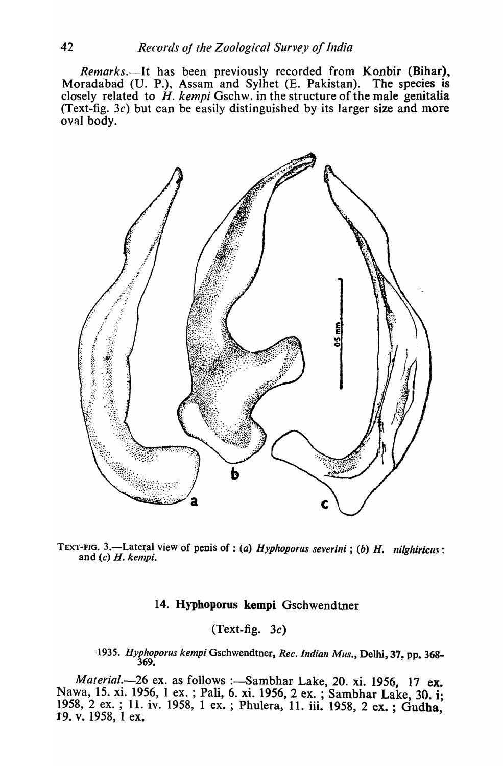*Remarks.*—It has been previously recorded from Konbir (Bihar), radabad (U. P.), Assam and Sylhet (E. Pakistan). The species is Moradabad (U. P.), Assam and Sylhet (E. Pakistan). closely related to  $H$ . *kempi* Gschw. in the structure of the male genitalia (Text-fig. *3c)* but can be easily distinguished by its larger size and more oval body.



TEXT-FIG. 3.—Lateral view of penis of : (a) *Hyphoporus severini*; (b) *H. nilghiricus*: and (c) *H. kempi.* 

## 14. Hyphoporus kempi Gschwendtner

## $(Text-fig. 3c)$

*·1935. Hyphoporus kemp;* Gschwendtner, *Rec. Indian Mus.,* Delhi, 37. pp. 368-  $369.$ 

*Material.*-26 ex. as follows :-Sambhar Lake, 20. xi. 1956, 17 ex. Nawa, 15. xi. 1956, 1 ex. ; Pali, 6. xi. 1956, 2 ex. ; Sambhar Lake, 30. i; 1958, 2 ex.; 11. iv. 1958, 1 ex.; Phulera, 11. iii. 1958, 2 ex.; Gudha, 19. v. 1958, 1 ex.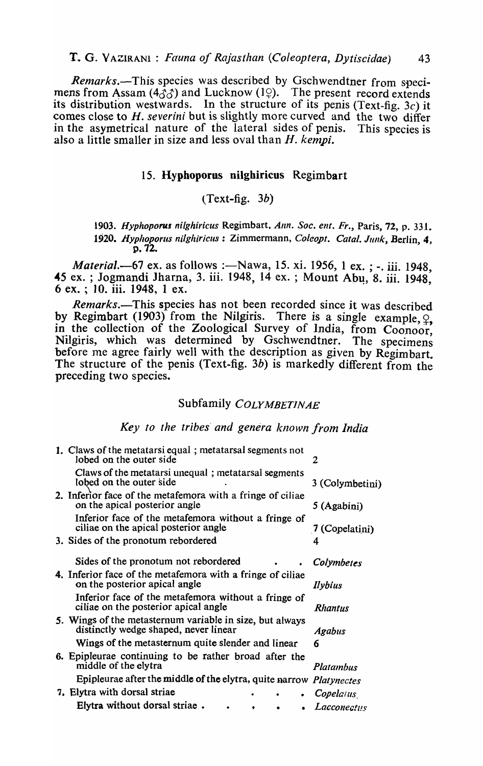*Remarks.*—This species was described by Gschwendtner from specimens from Assam (4 $\delta\delta$ ) and Lucknow (1 $\Omega$ ). The present record extends its distribution westwards. In the structure of its penis (Text-fig.  $3c$ ) it comes close to H. severini but is slightly more curved and the two differ in the asymetrical nature of the lateral sides of penis. This species is also a little smaller in size and less oval than *H. kempi.* 

## 15. Hypboporus nilghiricus Regimbart

## $(Text-fig. 3b)$

1903. Hyphoporus nilghiricus Regimbart. Ann. Soc. ent. Fr., Paris, 72, p. 331. 1920. Hyphoporus nilghiricus : Zimmermann, *Coleopt. Catal. Junk*, Berlin. 4. p.72.

*Material.*-67 ex. as follows :- Nawa, 15. xi. 1956, 1 ex. ; -. iii. 1948, 45 ex. ; Jogmandi Jharna, 3. iii. 1948, 14 ex. ; Mount Abu, 8. iii. 1948, 6 ex. ; 10. iii. 1948, 1 ex.

*Remarks.*—This species has not been recorded since it was described by Regimbart (1903) from the Nilgiris. There is a single example,  $\frac{1}{2}$ , in the collection of the Zoological Survey of India, from Coonoor, Nilgiris, which was determined by Gschwendtner. The specimens before me agree fairly well with the description as given by Regimbart. The structure of the penis (Text-fig. 3b) is markedly different from the preceding two species.

## Subfamily *COLYMBETINAE*

## *Key to the tribes' and genera known from India*

| 1. Claws of the metatarsi equal; metatarsal segments not<br>lobed on the outer side               | 2                  |
|---------------------------------------------------------------------------------------------------|--------------------|
| Claws of the metatarsi unequal; metatarsal segments<br>lobed on the outer side                    | 3 (Colymbetini)    |
| 2. Inferior face of the metafemora with a fringe of ciliae<br>on the apical posterior angle       | 5 (Agabini)        |
| Inferior face of the metafemora without a fringe of<br>ciliae on the apical posterior angle       | 7 (Copelatini)     |
| 3. Sides of the pronotum rebordered                                                               | 4                  |
| Sides of the pronotum not rebordered                                                              | Colymbetes         |
| 4. Inferior face of the metafemora with a fringe of ciliae<br>on the posterior apical angle       | Ilybius            |
| Inferior face of the metafemora without a fringe of<br>ciliae on the posterior apical angle       | <b>Rhantus</b>     |
| 5. Wings of the metasternum variable in size, but always<br>distinctly wedge shaped, never linear | <b>Agabus</b>      |
| Wings of the metasternum quite slender and linear                                                 | 6                  |
| 6. Epipleurae continuing to be rather broad after the<br>middle of the elytra                     | Platambus          |
| Epipleurae after the middle of the elytra, quite narrow <i>Platynectes</i>                        |                    |
| 7. Elytra with dorsal striae                                                                      | Copelarus          |
| Elytra without dorsal striae.                                                                     | <i>Lacconectus</i> |
|                                                                                                   |                    |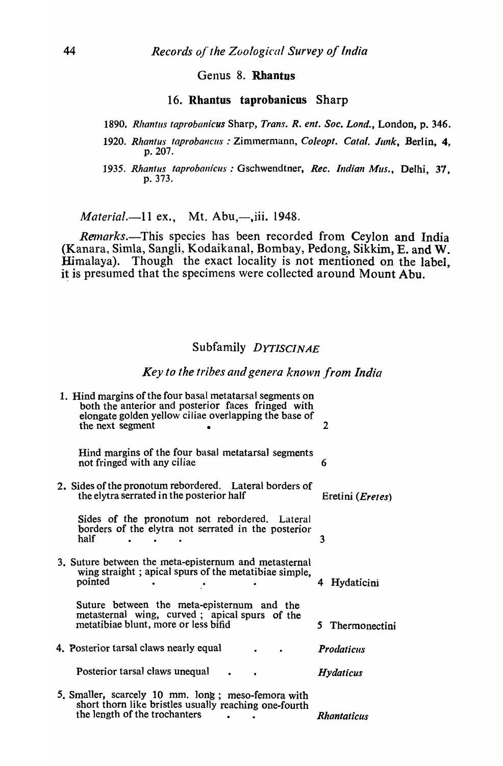## Genus 8. Rhantus

#### 16. Rhantus taprobanicus Sharp

1890. Rhantus taprobanicus Sharp, *Trans. R. ent. Soc. Lond.*, London, p. 346.

- 1920. Rhantus taprobancus: Zimmermann, *Coleopt. Catal, Junk*, Berlin, 4, p.207.
- 1935. Rhantus taprobanicus: Gschwendtner, *Rec. Indian Mus.*, Delhi, 37, p.373.

*Material.*-11 ex., Mt. Abu,-,iii. 1948.

*Remarks.*-This species has been recorded from Ceylon and India (Kanara, Simla, Sangli, Kodaikanal, Bombay, Pedong, Sikkim, E. and W. Himalaya). Though the exact locality is not mentioned on the label. it is presumed that the specimens were collected around Mount Abu.

## Subfamily *DYTISCINAE*

## Key to the tribes and genera known from India

| 1. Hind margins of the four basal metatarsal segments on<br>both the anterior and posterior faces fringed with<br>elongate golden yellow ciliae overlapping the base of<br>the next segment | 2                         |
|---------------------------------------------------------------------------------------------------------------------------------------------------------------------------------------------|---------------------------|
| Hind margins of the four basal metatarsal segments<br>not fringed with any ciliae                                                                                                           | 6                         |
| 2. Sides of the pronotum rebordered. Lateral borders of<br>the elytra serrated in the posterior half                                                                                        | Eretini ( <i>Eretes</i> ) |
| Sides of the pronotum not rebordered. Lateral<br>borders of the elytra not serrated in the posterior<br>half                                                                                | 3                         |
| 3. Suture between the meta-episternum and metasternal<br>wing straight; apical spurs of the metatibiae simple,<br>pointed                                                                   | Hydaticini<br>4           |
| Suture between the meta-episternum and the<br>metasternal wing, curved; apical spurs of the<br>metatibiae blunt, more or less bifid                                                         | 5 Thermonectini           |
| 4. Posterior tarsal claws nearly equal                                                                                                                                                      | <b>Prodaticus</b>         |
| Posterior tarsal claws unequal                                                                                                                                                              | <b>Hydaticus</b>          |
| 5. Smaller, scarcely 10 mm. long; meso-femora with<br>short thorn like bristles usually reaching one-fourth<br>the length of the trochanters<br>the control of the control of               | Rhantaticus               |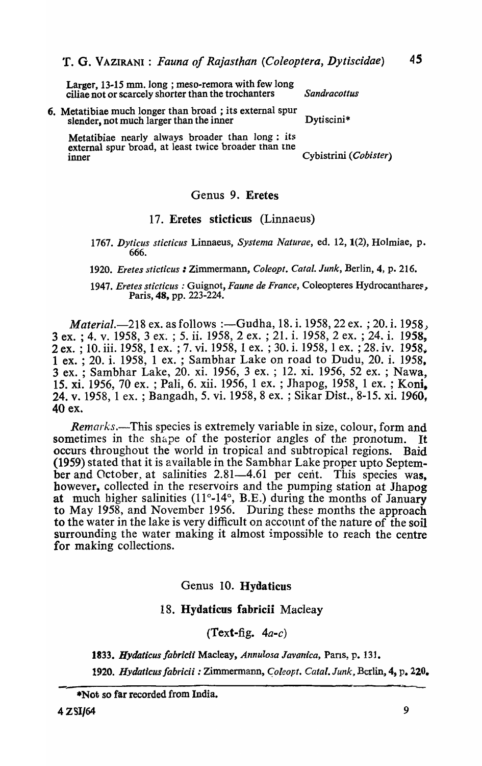Larger, 13-15 mm. long ; meso-remora with few long ciliae not or scarcely shorter than the trochanters *Sandracottus* 

6. Metatibiae much longer than broad; its external spur slender, not much larger than the inner Dytiscini\*

Metatibiae nearly always broader than long: its external spur broad, at least twice broader than tne Cybistrini *(Cobister)* 

#### Genus 9. Eretes

## 17. Eretes sticticus (Linnaeus)

*1767. Dyticus sticticus* Linnaeus, *Systema Naturae,* ed. 12, 1(2), Holmiae, p. 666.

*1920. Eretes sticticus* : Zimmermann, *Coleopt. Calal. Junk,* Berlin, 4, p. 216.

*1947. Eretes sticticus* : Guignot, *Faune de France,* Coleopteres Hydrocanthare~, Paris, 48, pp. 223-224.

*Material.*-218 ex. as follows :-Gudha, 18. i. 1958, 22 ex. ; 20. i. 1958, 3 ex. ; 4. v. 1958, 3 ex'. ; 5. ii. 1958, 2 ex. ; 21. i. 1958, 2 ex. ; 24. i. 1958, 2 ex. ; 10. iii. 1958, 1 ex. ; 7. vi. 1958, 1 ex. ; 30. i. 1958, 1 ex. ; 28. iv. 1958, 1 ex. ; 20. i. 1958, 1 ex. ; Sambhar Lake on road to Dudu, 20. i. 1958, 3 ex. ; Sambhar Lake, 20. xi. 1956, 3 ex. ; 12. xi. 1956, 52 ex. ; Nawa, 15. xi. 1956, 70 ex. ; Pali, 6. xii. 1956, 1 ex. ; Jhapog, 1958, 1 ex. ; Koni. 24. v. 1958, 1 ex. ; Bangadh, 5. vi. 1958, 8 ex. ; Sikar Dist., 8-15. xi. 1960, 40 ex.

*Remarks.-This* species is extremely variable in size, colour, form and sometimes in the shape of the posterior angles of the pronotum. It occurs throughout the world in tropical and subtropical regions. Baid (1959) stated that it is available in the Sambhar Lake proper upto September and October, at salinities  $2.81-4.61$  per cent. This species was. however, collected in the reservoirs and the pumping station at Jhapog at much higher salinities (11°-14°, B.E.) during the months of January to May 1958, and November 1956. During these months the approach to the water in the lake is very difficult on account of the nature of the soil surrounding the water making it almost impossihle to reach the centre for making collections.

Genus 10. Hydaticus

## 18. Hydaticus fabricii Macleay

 $(Text-fig, 4a-c)$ 

*1833. Hydaticus fabricii* Macleay, *Annulosa Javanica,* Pans, p. 131.

*1920. Hydatlcus fabricii* : Zimmermann, *C;oleopt. Catal. Junk,* Bcr1in~ 4, p. 220.

<sup>\*</sup>Not so far recorded from India.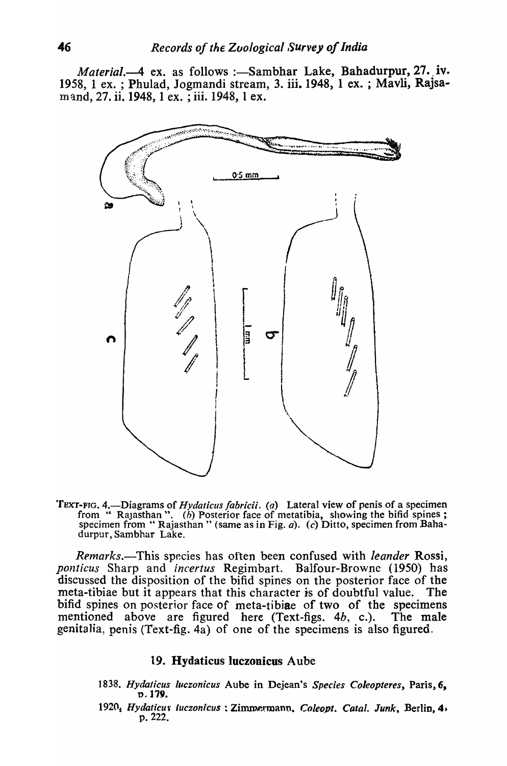*Material.*—4 ex. as follows :—Sambhar Lake, Bahadurpur, 27. iv. 1958, 1 ex. ; Phulad, Jogmandi stream, 3. iii. 1948, 1 ex. ; Mavli, Rajsamand, 27. ii. 1948, 1 ex. ; iii. 1948, 1 ex.



TEXT-FIG. 4.—Diagrams of *Hydaticus fabricii. (a)* Lateral view of penis of a specimen from " Rajasthan". (b) Posterior face of metatibia, showing the bifid spines; specimen from "Rajasthan" (same as in Fig. a). (c) Ditto, specimen from Bahadurpur, Sambhar Lake.

*Remarks.-This* species has often been confused with *leander* Rossi, *ponticus* Sharp and *incertus* Regimbart. Balfour-Browne (1950) has discussed the disposition of the bifid spines on the posterior face of the meta-tibiae but it appears that this character is of doubtful value. The bifid spines on posterior face of meta-tibiae of two of the specimens mentioned above are figured here (Text-figs. 4b, c.). The male genitalia, penis (Text-fig. 4a) of one of the specimens is also figured.

## 19. Hydaticus luczonicus Aube

- *1838. Hydalicus lllczonicus* Aube in Dejean's *Species Coieopteres,* Paris, 6, 1).179.
- 1920<sub>5</sub> Hydaticus *luczonicus* : Zimmermann. *Coleopt. Catal. Junk*, Berlin, 4, p.222.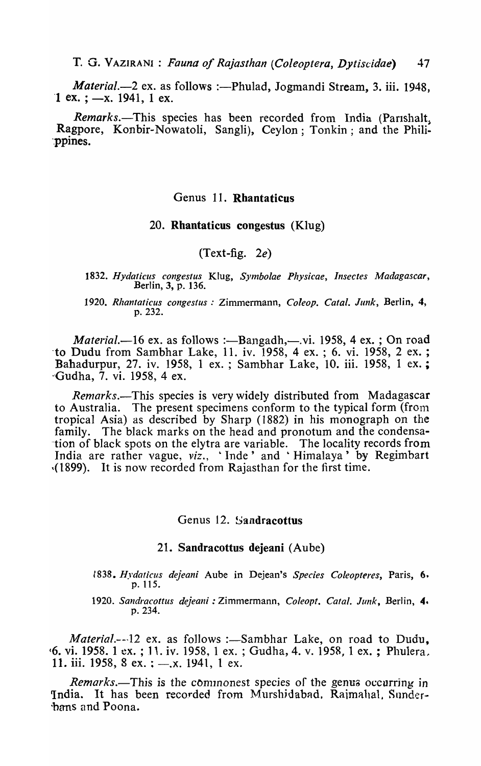T. G. VAZIRANI : *Fauna of Rajasthan (Coleoptera, Dytiscidae)* 47

*Material.*-2 ex. as follows :-Phulad, Jogmandi Stream, 3. iii. 1948, 1 ex. ;  $-x$ . 1941, 1 ex.

*Remarks.*-This species has been recorded from India (Parishalt, Ragpore, Konbir-Nowatoli, Sangli), Ceylon; Tonkin; and the Phili- -.ppines.

## Genus 11. Rhantaticus

#### 20. Rhantaticus congestus (KIug)

## (Text-fig. *2e)*

- *1832. Hydaticlls congestus* Klug, *SYlnbolae Physicae, Insectes Madagascar,*  Berlin, 3, p. 136.
- *1920. Rlzantaticus congestus* .' Zimmermann, *Coieop. Catal. Junk,* Berlin, 4, p.232.

*Material.*-16 ex. as follows :-Bangadh,-.vi. 1958, 4 ex. ; On road -to Dudu from Sambhar Lake, 11. iv. 1958, 4 ex. ; 6. vi. 1958, 2 ex. ; Babadurpur, 27. iv. 1958, 1 ex. ; Sambhar Lake, 10. iii. 1958, 1 ex.; '\Gudha, 7. vi. 1958, 4 ex.

*Remarks*.—This species is very widely distributed from Madagascar to Australia. The present specimens conform to the typical form (from The present specimens conform to the typical form (from tropical Asia) as described by Sharp (1882) in his monograph on the family. The black marks on the head and pronotum and the condensa--tion of black spots on the elytra are variable. The locality records from India are rather vague, *viz.*, 'Inde' and 'Himalaya' by Regimbart ,(1899). It is now recorded from Rajasthan for the first time.

## Genus 12. Sandracottus

## 21. Sandracottus dejeani (Aube)

*1838. Hydaticus dejeani* Aube in Dejean's *Species Coleopteres,* Paris, 6. p. 115.

*1920. Sandracottus dejeani* : Zimmermann, *Coleopt. Calal. Junk,* Berlin, 4. p.234.

*Material.*---12 ex. as follows :-Sambhar Lake, on road to Dudu, (6. vi. 1958. 1 ex.; 11. iv. 1958. 1 ex.; Gudha, 4. v. 1958. 1 ex.; Phulera. 11. iii. 1958, 8 ex. ;  $-, x$ . 1941, 1 ex.

*Remarks.*—This is the commonest species of the genus occurring in India. It has been recorded from Murshidabad. Raimahal, Sunderbans and Poona.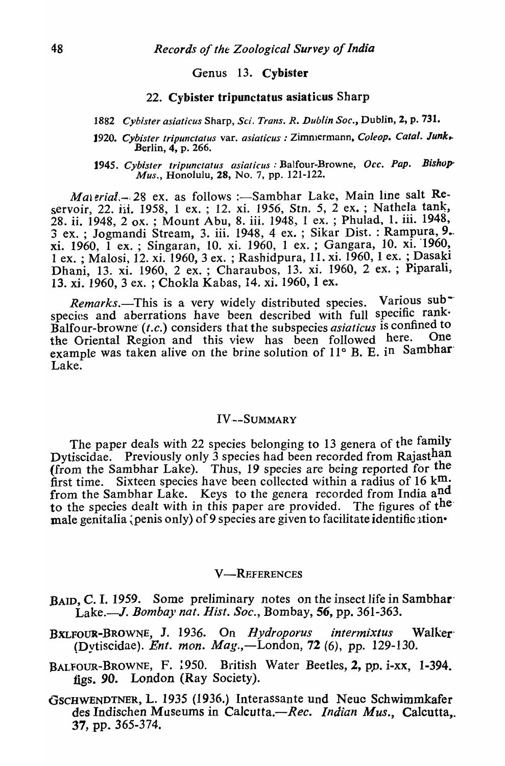## Genus 13. Cybister

## 22. Cybister tripunctatus asiaticus Sharp

- *1882 Cybister asiaticus* Sharp, *Sci. Trans. R. Dublin Soc.,* Dublin, 2, p. 731.
- 1920. *Cybister tripunctatus* var. *asiaticus* : Zimmermann, *Coleop. Catal. Junk.* Berlin, 4, p. 266.
- *1945. Cybister tripunctatus asiaticus:* Balfour-Browne, *Occ. Pap. Bishup' Mus.,* Honolulu, 28, No.7, pp. 121-122.

*Malerial.*-28 ex. as follows :-Sambhar Lake, Main line salt Reservoir, 22. iii. 1958, 1 ex. ; 12. xi. 1956, *Stn. 5*, 2 ex. ; Nathela tank, 28. ii. 1948, 2 ox. ; Mount Abu, 8. iii. 1948, 1 ex. ; Phulad, 1. iii. 1948, 3 ex. ; Jogmandi Stream, 3. iii. 1948, 4 ex. ; Sikar Dist. : Rampura, 9. xi. 1960, I ex.; Singaran, 10. xi. 1960, 1 ex.; Gangara, 10. xi. 1960, 1 ex. ; Malosi, 12. xi. 1960, 3 ex. ; Rashidpura, 11. xi. 1960, 1 ex. ; Dasaki Dhani, 13. xi. 1960, 2 ex. ; Charaubos, 13. xi. 1960, 2 ex. ; Piparali, 13. xi. 1960, 3 ex. ; Chokla Kabas, 14. xi. 1960, 1 ex.

*Remarks.*-This is a very widely distributed species. Various subspecies and aberrations have been described with full specific rank· Balfour-browne (t.c.) considers that the subspecies *asiaticus* is confined to<br>the Oriental Pegion and this view, has been followed here. One the Oriental Region and this view has been followed here. example was taken alive on the brine solution of 11° B. E. in Sambhar Lake.

## IV--SUMMARY

The paper deals with 22 species belonging to 13 genera of the family Dytiscidae. Previously only 3 species had been recorded from Rajasthan (from the Sambhar Lake). Thus, 19 species are *being* reported for the first time. Sixteen species have been collected within a radius of 16  $km$ . from the Sambhar Lake. Keys to the genera recorded from India  $a_{\mu}^{nd}$ to the species dealt with in this paper are provided. The figures of  $t^{he}$ male genitalia (penis only) of 9 species are given to facilitate identific ation.

#### **V-REFERENCES**

- BAID, C. I. 1959. Some preliminary notes on the insect life in Sambhar Lake.-J. *Bomba}' nat. Hist. Soc.,* Bombay, 56, pp. 361-363.
- BXLFOUR-BROWNE, J. 1936. On *Hydroporus intermixtus* Walker (Dytiscidae). *Ent. mon. Mag.*,—London, 72 (6), pp. 129-130.
- BALFOUR-BROWNE, F. 1950. British Water Beetles, 2, pp. i-xx, 1-394. figs. 90. London (Ray Society).
- GSCHWENDTNER, L. 1935 (1936.) Interassante und Neue Schwimmkafer des Indischen Museums in Calcutta.-Rec. *Indian Mus.*, Calcutta,. 37, pp. 365-374.